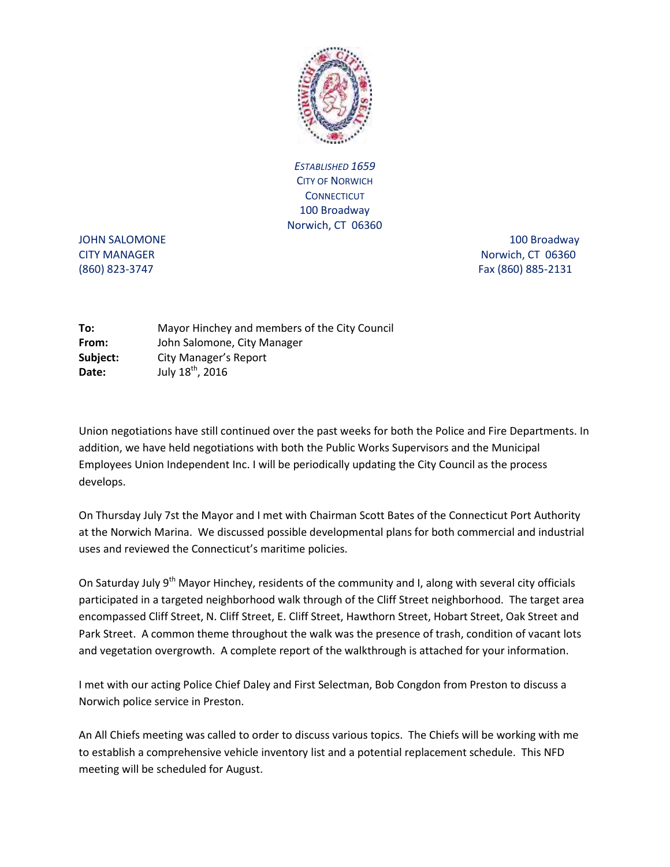

*ESTABLISHED 1659*  CITY OF NORWICH **CONNECTICUT** 100 Broadway Norwich, CT 06360

JOHN SALOMONE 2000 100 Broadway 300 Broadway CITY MANAGER Norwich, CT 06360 (860) 823-3747 Fax (860) 885-2131

**To:** Mayor Hinchey and members of the City Council **From:** John Salomone, City Manager **Subject:** City Manager's Report **Date:** July 18<sup>th</sup>, 2016

Union negotiations have still continued over the past weeks for both the Police and Fire Departments. In addition, we have held negotiations with both the Public Works Supervisors and the Municipal Employees Union Independent Inc. I will be periodically updating the City Council as the process develops.

On Thursday July 7st the Mayor and I met with Chairman Scott Bates of the Connecticut Port Authority at the Norwich Marina. We discussed possible developmental plans for both commercial and industrial uses and reviewed the Connecticut's maritime policies.

On Saturday July 9<sup>th</sup> Mayor Hinchey, residents of the community and I, along with several city officials participated in a targeted neighborhood walk through of the Cliff Street neighborhood. The target area encompassed Cliff Street, N. Cliff Street, E. Cliff Street, Hawthorn Street, Hobart Street, Oak Street and Park Street. A common theme throughout the walk was the presence of trash, condition of vacant lots and vegetation overgrowth. A complete report of the walkthrough is attached for your information.

I met with our acting Police Chief Daley and First Selectman, Bob Congdon from Preston to discuss a Norwich police service in Preston.

An All Chiefs meeting was called to order to discuss various topics. The Chiefs will be working with me to establish a comprehensive vehicle inventory list and a potential replacement schedule. This NFD meeting will be scheduled for August.